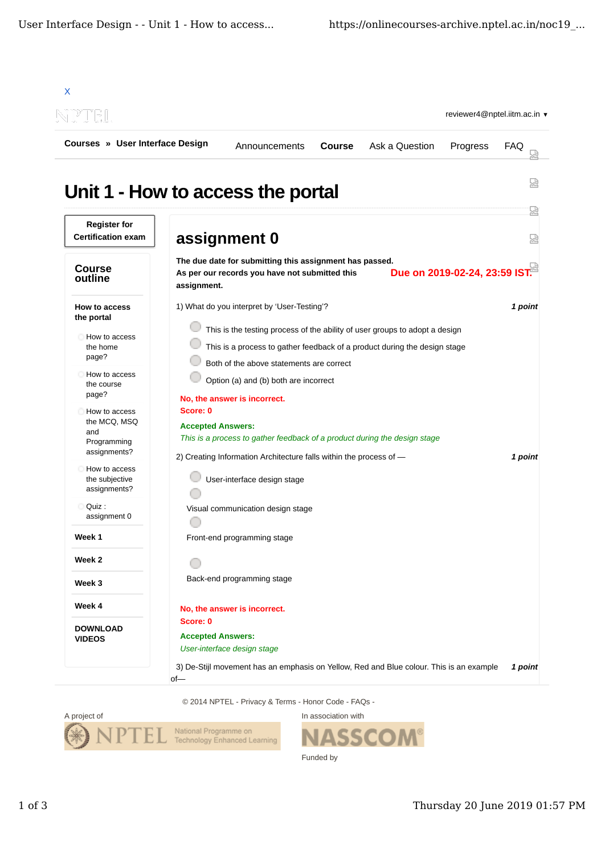

© 2014 NPTEL - Privacy & Terms - Honor Code - FAQs -



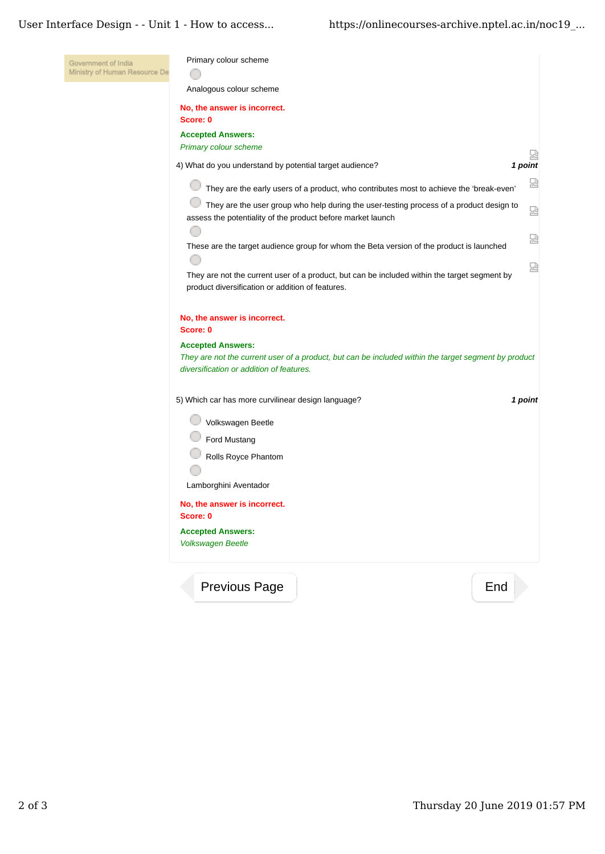## User Interface Design - - Unit 1 - How to access... https://onlinecourses-archive.nptel.ac.in/noc19\_...

| Government of India<br>Ministry of Human Resource De | Primary colour scheme                                                                                                                                                        |         |
|------------------------------------------------------|------------------------------------------------------------------------------------------------------------------------------------------------------------------------------|---------|
|                                                      | Analogous colour scheme                                                                                                                                                      |         |
|                                                      | No, the answer is incorrect.<br>Score: 0                                                                                                                                     |         |
|                                                      | <b>Accepted Answers:</b>                                                                                                                                                     |         |
|                                                      | Primary colour scheme                                                                                                                                                        | 썶       |
|                                                      | 4) What do you understand by potential target audience?                                                                                                                      | 1 point |
|                                                      | They are the early users of a product, who contributes most to achieve the 'break-even'                                                                                      | 덣       |
|                                                      | They are the user group who help during the user-testing process of a product design to<br>assess the potentiality of the product before market launch                       | 圀       |
|                                                      | These are the target audience group for whom the Beta version of the product is launched                                                                                     | 얺       |
|                                                      | They are not the current user of a product, but can be included within the target segment by<br>product diversification or addition of features.                             | 얺       |
|                                                      | No, the answer is incorrect.<br>Score: 0                                                                                                                                     |         |
|                                                      | <b>Accepted Answers:</b><br>They are not the current user of a product, but can be included within the target segment by product<br>diversification or addition of features. |         |
|                                                      | 5) Which car has more curvilinear design language?                                                                                                                           | 1 point |
|                                                      | Volkswagen Beetle                                                                                                                                                            |         |
|                                                      | Ford Mustang                                                                                                                                                                 |         |
|                                                      | Rolls Royce Phantom                                                                                                                                                          |         |
|                                                      | Lamborghini Aventador                                                                                                                                                        |         |
|                                                      | No, the answer is incorrect.<br>Score: 0                                                                                                                                     |         |
|                                                      | <b>Accepted Answers:</b><br><b>Volkswagen Beetle</b>                                                                                                                         |         |
|                                                      | Previous Page<br>End                                                                                                                                                         |         |